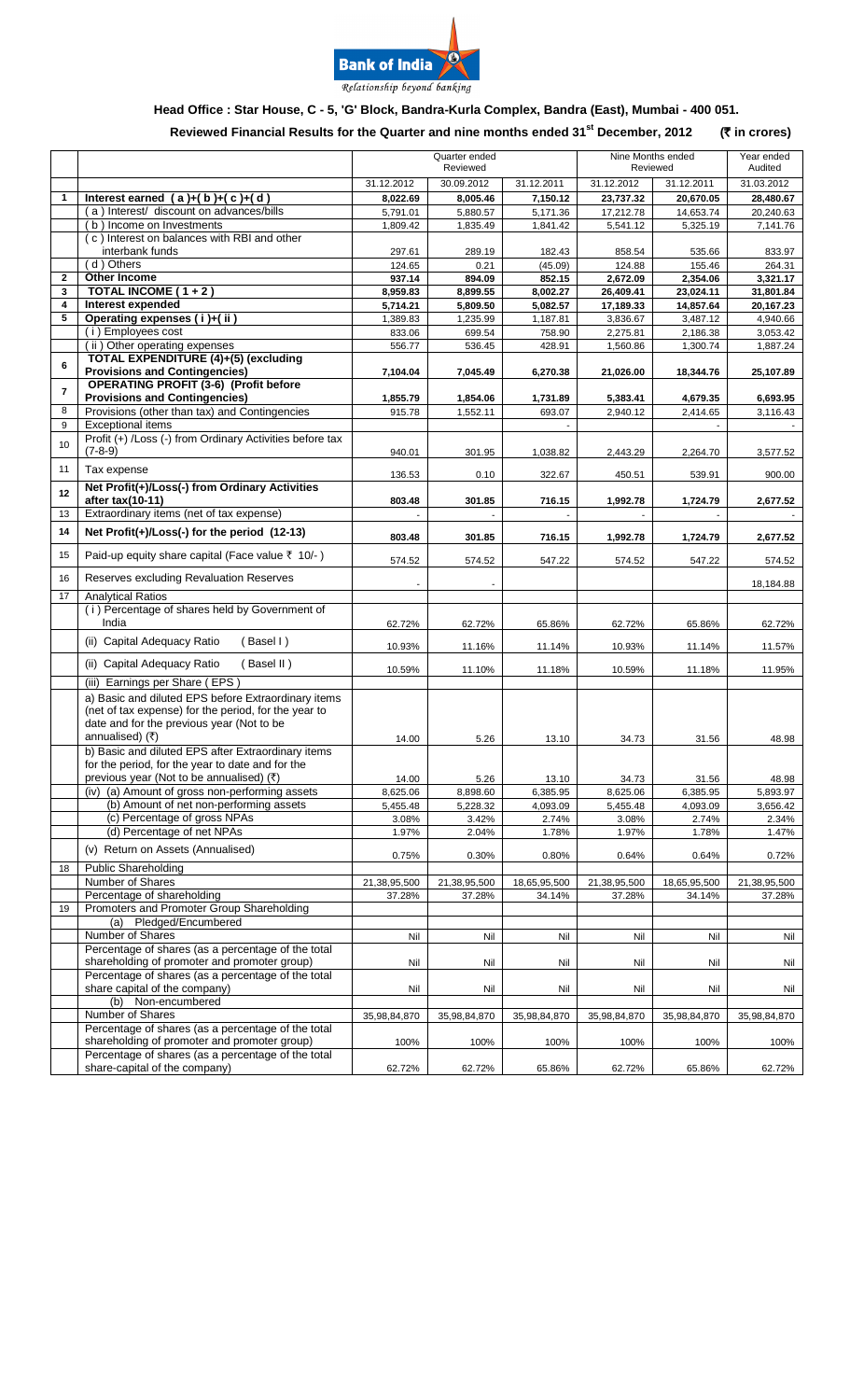

# **Head Office : Star House, C - 5, 'G' Block, Bandra-Kurla Complex, Bandra (East), Mumbai - 400 051.**

### **Reviewed Financial Results for the Quarter and nine months ended 31 st December, 2012 (**` **in crores)**

|              |                                                                                                                                                          | Quarter ended<br>Reviewed |                   |                   | Nine Months ended<br>Reviewed |                      | Year ended<br>Audited |
|--------------|----------------------------------------------------------------------------------------------------------------------------------------------------------|---------------------------|-------------------|-------------------|-------------------------------|----------------------|-----------------------|
|              |                                                                                                                                                          | 31.12.2012                | 30.09.2012        | 31.12.2011        | 31.12.2012                    | 31.12.2011           | 31.03.2012            |
| $\mathbf{1}$ | Interest earned $(a)+(b)+(c)+(d)$                                                                                                                        | 8,022.69                  | 8,005.46          | 7,150.12          | 23,737.32                     | 20,670.05            | 28,480.67             |
|              | (a) Interest/ discount on advances/bills                                                                                                                 | 5.791.01                  | 5,880.57          | 5,171.36          | 17,212.78                     | 14,653.74            | 20,240.63             |
|              | (b) Income on Investments<br>(c) Interest on balances with RBI and other                                                                                 | 1,809.42                  | 1,835.49          | 1,841.42          | 5,541.12                      | 5,325.19             | 7,141.76              |
|              | interbank funds                                                                                                                                          | 297.61                    | 289.19            | 182.43            | 858.54                        | 535.66               | 833.97                |
|              | (d) Others                                                                                                                                               | 124.65                    | 0.21              | (45.09)           | 124.88                        | 155.46               | 264.31                |
| $\mathbf{2}$ | Other Income                                                                                                                                             | 937.14                    | 894.09            | 852.15            | 2,672.09                      | 2,354.06             | 3,321.17              |
| 3            | <b>TOTAL INCOME (1+2)</b>                                                                                                                                | 8,959.83                  | 8,899.55          | 8,002.27          | 26,409.41                     | 23,024.11            | 31,801.84             |
| 4            | Interest expended                                                                                                                                        | 5,714.21                  | 5,809.50          | 5,082.57          | 17,189.33                     | 14,857.64            | 20,167.23             |
| 5            | Operating expenses (i)+(ii)<br>(i) Employees cost                                                                                                        | 1,389.83                  | 1,235.99          | 1,187.81          | 3.836.67                      | 3,487.12<br>2,186.38 | 4,940.66<br>3,053.42  |
|              | (ii) Other operating expenses                                                                                                                            | 833.06<br>556.77          | 699.54<br>536.45  | 758.90<br>428.91  | 2,275.81<br>1,560.86          | 1,300.74             | 1,887.24              |
|              | TOTAL EXPENDITURE (4)+(5) (excluding                                                                                                                     |                           |                   |                   |                               |                      |                       |
| 6            | <b>Provisions and Contingencies)</b>                                                                                                                     | 7,104.04                  | 7,045.49          | 6,270.38          | 21,026.00                     | 18,344.76            | 25,107.89             |
| 7            | <b>OPERATING PROFIT (3-6) (Profit before</b>                                                                                                             |                           |                   |                   |                               |                      |                       |
|              | <b>Provisions and Contingencies)</b>                                                                                                                     | 1,855.79                  | 1,854.06          | 1,731.89          | 5,383.41                      | 4,679.35             | 6,693.95              |
| 8            | Provisions (other than tax) and Contingencies<br><b>Exceptional items</b>                                                                                | 915.78                    | 1,552.11          | 693.07            | 2,940.12                      | 2,414.65             | 3,116.43              |
| 9            | Profit (+) /Loss (-) from Ordinary Activities before tax                                                                                                 |                           |                   |                   |                               |                      |                       |
| 10           | $(7-8-9)$                                                                                                                                                | 940.01                    | 301.95            | 1,038.82          | 2,443.29                      | 2,264.70             | 3,577.52              |
| 11           | Tax expense                                                                                                                                              | 136.53                    | 0.10              | 322.67            | 450.51                        | 539.91               | 900.00                |
| 12           | Net Profit(+)/Loss(-) from Ordinary Activities                                                                                                           |                           |                   |                   |                               |                      |                       |
|              | after tax(10-11)                                                                                                                                         | 803.48                    | 301.85            | 716.15            | 1,992.78                      | 1,724.79             | 2,677.52              |
| 13           | Extraordinary items (net of tax expense)                                                                                                                 |                           |                   |                   |                               |                      |                       |
| 14           | Net Profit(+)/Loss(-) for the period (12-13)                                                                                                             | 803.48                    | 301.85            | 716.15            | 1,992.78                      | 1,724.79             | 2,677.52              |
| 15           | Paid-up equity share capital (Face value ₹ 10/-)                                                                                                         | 574.52                    | 574.52            | 547.22            | 574.52                        | 547.22               | 574.52                |
| 16           | Reserves excluding Revaluation Reserves                                                                                                                  |                           |                   |                   |                               |                      | 18,184.88             |
| 17           | <b>Analytical Ratios</b>                                                                                                                                 |                           |                   |                   |                               |                      |                       |
|              | (i) Percentage of shares held by Government of<br>India                                                                                                  | 62.72%                    | 62.72%            | 65.86%            | 62.72%                        | 65.86%               | 62.72%                |
|              | (ii) Capital Adequacy Ratio<br>(Basel I)                                                                                                                 | 10.93%                    | 11.16%            | 11.14%            | 10.93%                        | 11.14%               | 11.57%                |
|              | (ii) Capital Adequacy Ratio<br>(Basel II)                                                                                                                | 10.59%                    | 11.10%            | 11.18%            | 10.59%                        | 11.18%               | 11.95%                |
|              | (iii) Earnings per Share (EPS)                                                                                                                           |                           |                   |                   |                               |                      |                       |
|              | a) Basic and diluted EPS before Extraordinary items<br>(net of tax expense) for the period, for the year to<br>date and for the previous year (Not to be |                           |                   |                   |                               |                      |                       |
|              | annualised) (₹)                                                                                                                                          | 14.00                     | 5.26              | 13.10             | 34.73                         | 31.56                | 48.98                 |
|              | b) Basic and diluted EPS after Extraordinary items                                                                                                       |                           |                   |                   |                               |                      |                       |
|              | for the period, for the year to date and for the                                                                                                         |                           |                   |                   |                               |                      |                       |
|              | previous year (Not to be annualised) $(3)$                                                                                                               | 14.00                     | 5.26              | 13.10             | 34.73                         | 31.56                | 48.98                 |
|              | (iv) (a) Amount of gross non-performing assets                                                                                                           | 8,625.06                  | 8,898.60          | 6,385.95          | 8,625.06                      | 6,385.95             | 5,893.97              |
|              | (b) Amount of net non-performing assets<br>(c) Percentage of gross NPAs                                                                                  | 5,455.48<br>3.08%         | 5,228.32<br>3.42% | 4,093.09<br>2.74% | 5,455.48<br>3.08%             | 4,093.09<br>2.74%    | 3,656.42<br>2.34%     |
|              | (d) Percentage of net NPAs                                                                                                                               | 1.97%                     | 2.04%             | 1.78%             | 1.97%                         | 1.78%                | 1.47%                 |
|              | (v) Return on Assets (Annualised)                                                                                                                        |                           |                   |                   |                               |                      |                       |
| 18           | <b>Public Shareholding</b>                                                                                                                               | 0.75%                     | 0.30%             | 0.80%             | 0.64%                         | 0.64%                | 0.72%                 |
|              | Number of Shares                                                                                                                                         | 21,38,95,500              | 21,38,95,500      | 18,65,95,500      | 21,38,95,500                  | 18,65,95,500         | 21,38,95,500          |
|              | Percentage of shareholding                                                                                                                               | 37.28%                    | 37.28%            | 34.14%            | 37.28%                        | 34.14%               | 37.28%                |
| 19           | Promoters and Promoter Group Shareholding                                                                                                                |                           |                   |                   |                               |                      |                       |
|              | Pledged/Encumbered<br>(a)                                                                                                                                |                           |                   |                   |                               |                      |                       |
|              | Number of Shares<br>Percentage of shares (as a percentage of the total                                                                                   | Nil                       | Nil               | Nil               | Nil                           | Nil                  | Nil                   |
|              | shareholding of promoter and promoter group)                                                                                                             | Nil                       | Nil               | Nil               | Nil                           | Nil                  | Nil                   |
|              | Percentage of shares (as a percentage of the total                                                                                                       |                           |                   |                   |                               |                      |                       |
|              | share capital of the company)                                                                                                                            | Nil                       | Nil               | Nil               | Nil                           | Nil                  | Nil                   |
|              | (b) Non-encumbered<br>Number of Shares                                                                                                                   |                           |                   |                   |                               |                      |                       |
|              | Percentage of shares (as a percentage of the total                                                                                                       | 35,98,84,870              | 35,98,84,870      | 35,98,84,870      | 35,98,84,870                  | 35,98,84,870         | 35,98,84,870          |
|              | shareholding of promoter and promoter group)                                                                                                             | 100%                      | 100%              | 100%              | 100%                          | 100%                 | 100%                  |
|              | Percentage of shares (as a percentage of the total                                                                                                       |                           |                   |                   |                               |                      |                       |
|              | share-capital of the company)                                                                                                                            | 62.72%                    | 62.72%            | 65.86%            | 62.72%                        | 65.86%               | 62.72%                |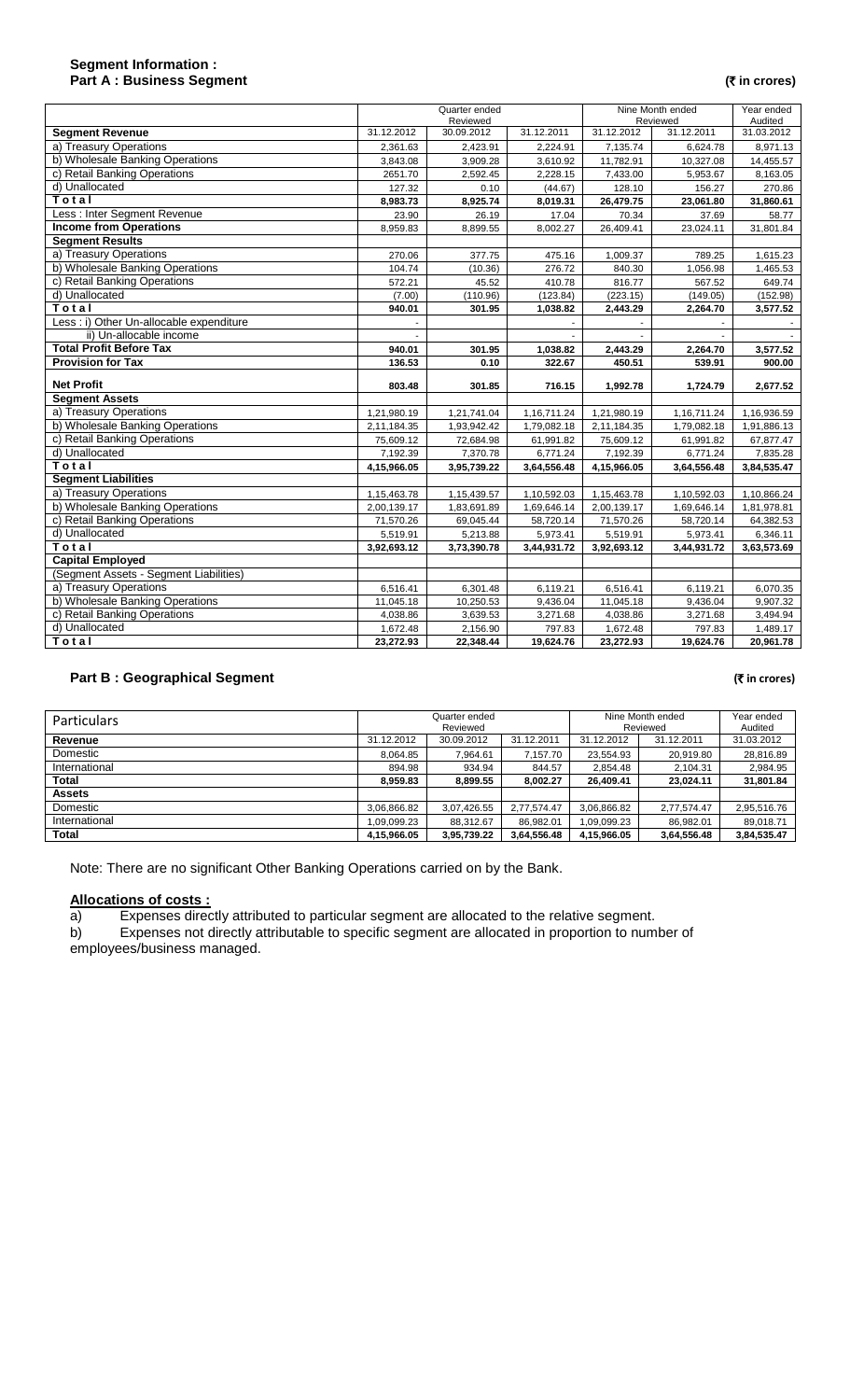## **Segment Information : Part A : Business Segment (** $\overline{\tau}$  in crores)

|                                          | Quarter ended<br>Reviewed |                       | Nine Month ended<br>Reviewed |                       | Year ended<br>Audited |                       |
|------------------------------------------|---------------------------|-----------------------|------------------------------|-----------------------|-----------------------|-----------------------|
| <b>Segment Revenue</b>                   | 31.12.2012                | 30.09.2012            | 31.12.2011                   | 31.12.2012            | 31.12.2011            | 31.03.2012            |
| a) Treasury Operations                   | 2.361.63                  | 2,423.91              | 2,224.91                     | 7.135.74              | 6.624.78              | 8,971.13              |
| b) Wholesale Banking Operations          | 3,843.08                  | 3,909.28              | 3,610.92                     | 11,782.91             | 10,327.08             | 14,455.57             |
| c) Retail Banking Operations             | 2651.70                   | 2,592.45              | 2,228.15                     | 7,433.00              | 5,953.67              | 8,163.05              |
| d) Unallocated                           | 127.32                    | 0.10                  | (44.67)                      | 128.10                | 156.27                | 270.86                |
| Total                                    | 8,983.73                  | 8,925.74              | 8,019.31                     | 26,479.75             | 23,061.80             | 31,860.61             |
| Less: Inter Segment Revenue              | 23.90                     | 26.19                 | 17.04                        | 70.34                 | 37.69                 | 58.77                 |
| <b>Income from Operations</b>            | 8,959.83                  | 8,899.55              | 8,002.27                     | 26,409.41             | 23,024.11             | 31,801.84             |
| <b>Segment Results</b>                   |                           |                       |                              |                       |                       |                       |
| a) Treasury Operations                   | 270.06                    | 377.75                | 475.16                       | 1,009.37              | 789.25                | 1,615.23              |
| b) Wholesale Banking Operations          | 104.74                    | (10.36)               | 276.72                       | 840.30                | 1,056.98              | 1,465.53              |
| c) Retail Banking Operations             | 572.21                    | 45.52                 | 410.78                       | 816.77                | 567.52                | 649.74                |
| d) Unallocated                           | (7.00)                    | (110.96)              | (123.84)                     | (223.15)              | (149.05)              | (152.98)              |
| Total                                    | 940.01                    | 301.95                | 1,038.82                     | 2,443.29              | 2,264.70              | 3,577.52              |
| Less : i) Other Un-allocable expenditure |                           |                       |                              |                       |                       |                       |
| ii) Un-allocable income                  |                           |                       |                              |                       |                       |                       |
| <b>Total Profit Before Tax</b>           | 940.01                    | 301.95                | 1,038.82                     | 2,443.29              | 2,264.70              | 3,577.52              |
| <b>Provision for Tax</b>                 | 136.53                    | 0.10                  | 322.67                       | 450.51                | 539.91                | 900.00                |
|                                          |                           |                       |                              |                       |                       |                       |
| <b>Net Profit</b>                        | 803.48                    | 301.85                | 716.15                       | 1,992.78              | 1,724.79              | 2,677.52              |
| <b>Segment Assets</b>                    |                           |                       |                              |                       |                       |                       |
| a) Treasury Operations                   | 1,21,980.19               | 1,21,741.04           | 1,16,711.24                  | 1,21,980.19           | 1,16,711.24           | 1,16,936.59           |
| b) Wholesale Banking Operations          | 2,11,184.35               | 1,93,942.42           | 1,79,082.18                  | 2,11,184.35           | 1,79,082.18           | 1,91,886.13           |
| c) Retail Banking Operations             | 75,609.12                 | 72,684.98             | 61,991.82                    | 75,609.12             | 61,991.82             | 67,877.47             |
| d) Unallocated                           | 7,192.39                  | 7,370.78              | 6,771.24                     | 7,192.39              | 6,771.24              | 7,835.28              |
| Total                                    | 4,15,966.05               | 3,95,739.22           | 3,64,556.48                  | 4,15,966.05           | 3,64,556.48           | 3,84,535.47           |
| <b>Segment Liabilities</b>               |                           |                       |                              |                       |                       |                       |
| a) Treasury Operations                   | 1,15,463.78               | 1,15,439.57           | 1,10,592.03                  | 1,15,463.78           | 1,10,592.03           | 1,10,866.24           |
| b) Wholesale Banking Operations          | 2,00,139.17               | 1,83,691.89           | 1,69,646.14                  | 2,00,139.17           | 1,69,646.14           | 1,81,978.81           |
| c) Retail Banking Operations             | 71,570.26                 | 69,045.44             | 58,720.14                    | 71,570.26             | 58,720.14             | 64,382.53             |
| d) Unallocated                           | 5,519.91                  | 5,213.88              | 5,973.41                     | 5,519.91              | 5,973.41              | 6,346.11              |
| Total                                    | 3,92,693.12               | 3,73,390.78           | 3,44,931.72                  | 3,92,693.12           | 3,44,931.72           | 3,63,573.69           |
| <b>Capital Employed</b>                  |                           |                       |                              |                       |                       |                       |
| (Segment Assets - Segment Liabilities)   |                           |                       |                              |                       |                       |                       |
| a) Treasury Operations                   | 6,516.41                  | 6,301.48              | 6,119.21                     | 6,516.41              | 6,119.21              | 6,070.35              |
| b) Wholesale Banking Operations          | 11,045.18                 | 10,250.53             | 9,436.04                     | 11,045.18             | 9,436.04              | 9,907.32              |
| c) Retail Banking Operations             | 4,038.86                  | 3,639.53              | 3,271.68                     | 4,038.86              | 3,271.68              | 3,494.94              |
| d) Unallocated<br>Total                  | 1,672.48<br>23,272.93     | 2,156.90<br>22,348.44 | 797.83<br>19,624.76          | 1,672.48<br>23,272.93 | 797.83<br>19,624.76   | 1,489.17<br>20,961.78 |

# **Part B : Geographical Segment (₹** *in crores*)

| Particulars   | Quarter ended<br>Reviewed |             |             | Nine Month ended<br>Reviewed |             | Year ended<br>Audited |
|---------------|---------------------------|-------------|-------------|------------------------------|-------------|-----------------------|
| Revenue       | 31.12.2012                | 30.09.2012  | 31.12.2011  | 31.12.2012                   | 31.12.2011  | 31.03.2012            |
| Domestic      | 8.064.85                  | 7.964.61    | 7.157.70    | 23.554.93                    | 20,919.80   | 28,816.89             |
| International | 894.98                    | 934.94      | 844.57      | 2.854.48                     | 2,104.31    | 2,984.95              |
| Total         | 8.959.83                  | 8.899.55    | 8.002.27    | 26.409.41                    | 23.024.11   | 31,801.84             |
| <b>Assets</b> |                           |             |             |                              |             |                       |
| Domestic      | 3.06.866.82               | 3,07,426.55 | 2.77.574.47 | 3,06,866.82                  | 2,77,574.47 | 2,95,516.76           |
| International | 09,099.23                 | 88.312.67   | 86,982.01   | ,09,099.23                   | 86,982.01   | 89,018.71             |
| <b>Total</b>  | 4,15,966.05               | 3,95,739.22 | 3,64,556.48 | 4,15,966.05                  | 3,64,556.48 | 3,84,535.47           |

Note: There are no significant Other Banking Operations carried on by the Bank.

### **Allocations of costs :**

a) Expenses directly attributed to particular segment are allocated to the relative segment.

b) Expenses not directly attributable to specific segment are allocated in proportion to number of employees/business managed.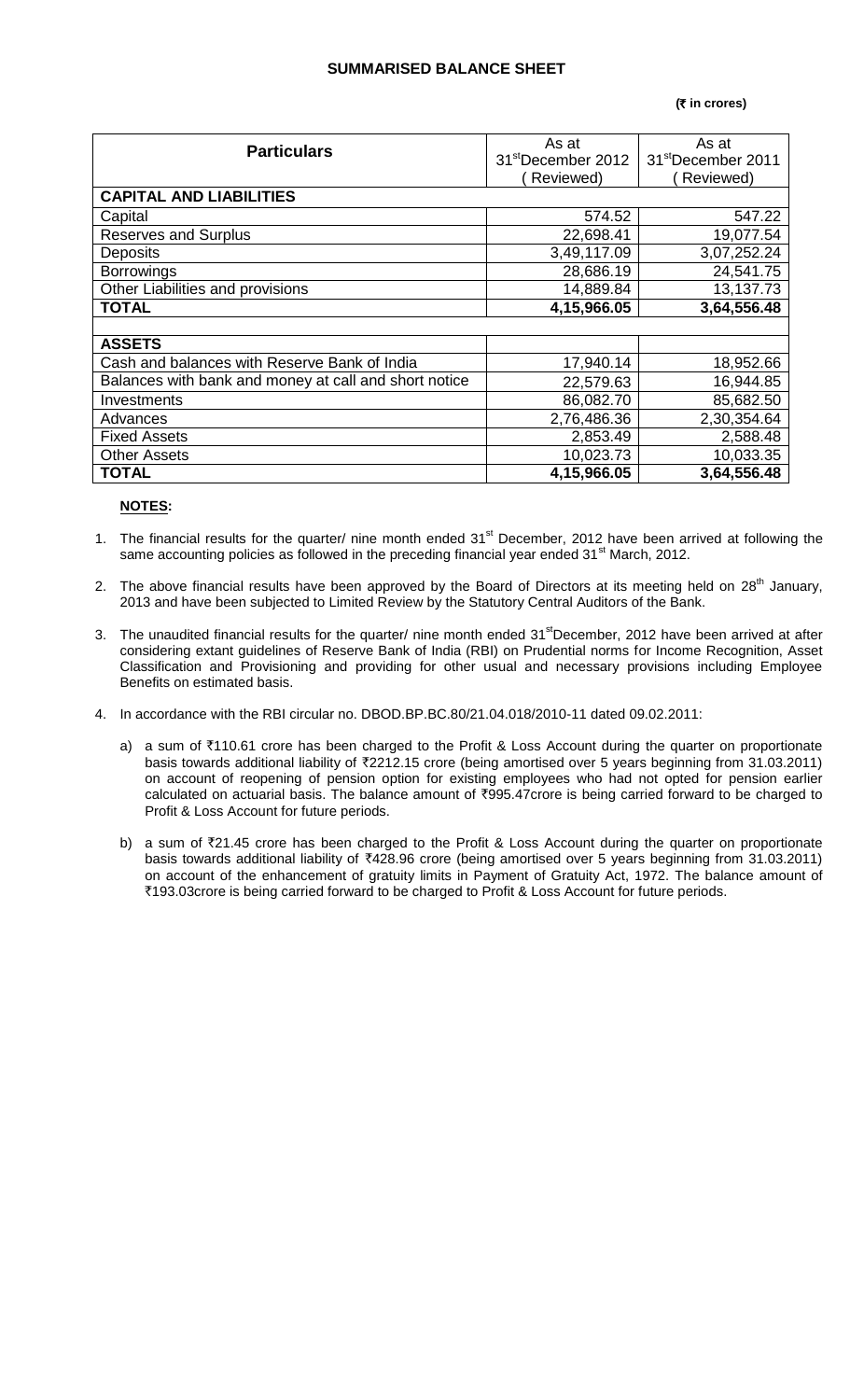## **SUMMARISED BALANCE SHEET**

### **(**` **in crores)**

| <b>Particulars</b>                                    | As at                          | As at                          |  |  |  |
|-------------------------------------------------------|--------------------------------|--------------------------------|--|--|--|
|                                                       | 31 <sup>st</sup> December 2012 | 31 <sup>st</sup> December 2011 |  |  |  |
|                                                       | Reviewed)                      | Reviewed)                      |  |  |  |
| <b>CAPITAL AND LIABILITIES</b>                        |                                |                                |  |  |  |
| Capital                                               | 574.52                         | 547.22                         |  |  |  |
| <b>Reserves and Surplus</b>                           | 22,698.41                      | 19,077.54                      |  |  |  |
| <b>Deposits</b>                                       | 3,49,117.09                    | 3,07,252.24                    |  |  |  |
| <b>Borrowings</b>                                     | 28,686.19                      | 24,541.75                      |  |  |  |
| Other Liabilities and provisions                      | 14,889.84                      | 13,137.73                      |  |  |  |
| <b>TOTAL</b>                                          | 4,15,966.05                    | 3,64,556.48                    |  |  |  |
|                                                       |                                |                                |  |  |  |
| <b>ASSETS</b>                                         |                                |                                |  |  |  |
| Cash and balances with Reserve Bank of India          | 17,940.14                      | 18,952.66                      |  |  |  |
| Balances with bank and money at call and short notice | 22,579.63                      | 16,944.85                      |  |  |  |
| Investments                                           | 86,082.70                      | 85,682.50                      |  |  |  |
| Advances                                              | 2,76,486.36                    | 2,30,354.64                    |  |  |  |
| <b>Fixed Assets</b>                                   | 2,853.49                       | 2,588.48                       |  |  |  |
| <b>Other Assets</b>                                   | 10,023.73                      | 10,033.35                      |  |  |  |
| <b>TOTAL</b>                                          | 4,15,966.05                    | 3,64,556.48                    |  |  |  |

## **NOTES:**

- 1. The financial results for the quarter/ nine month ended 31<sup>st</sup> December, 2012 have been arrived at following the same accounting policies as followed in the preceding financial year ended 31<sup>st</sup> March, 2012.
- 2. The above financial results have been approved by the Board of Directors at its meeting held on 28<sup>th</sup> January, 2013 and have been subjected to Limited Review by the Statutory Central Auditors of the Bank.
- 3. The unaudited financial results for the quarter/ nine month ended 31<sup>st</sup>December, 2012 have been arrived at after considering extant guidelines of Reserve Bank of India (RBI) on Prudential norms for Income Recognition, Asset Classification and Provisioning and providing for other usual and necessary provisions including Employee Benefits on estimated basis.
- 4. In accordance with the RBI circular no. DBOD.BP.BC.80/21.04.018/2010-11 dated 09.02.2011:
	- a) a sum of ₹110.61 crore has been charged to the Profit & Loss Account during the quarter on proportionate basis towards additional liability of `2212.15 crore (being amortised over 5 years beginning from 31.03.2011) on account of reopening of pension option for existing employees who had not opted for pension earlier calculated on actuarial basis. The balance amount of ₹995.47crore is being carried forward to be charged to Profit & Loss Account for future periods.
	- b) a sum of  $\overline{z}21.45$  crore has been charged to the Profit & Loss Account during the quarter on proportionate basis towards additional liability of ₹428.96 crore (being amortised over 5 years beginning from 31.03.2011) on account of the enhancement of gratuity limits in Payment of Gratuity Act, 1972. The balance amount of ₹193.03crore is being carried forward to be charged to Profit & Loss Account for future periods.